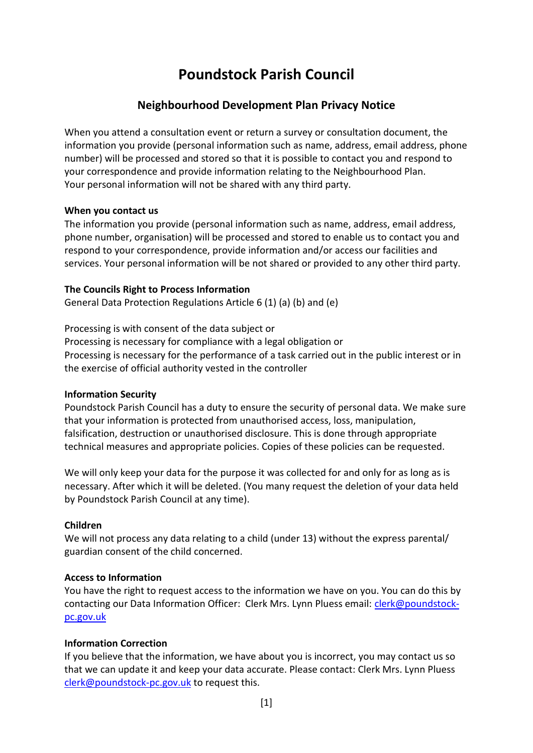# **Poundstock Parish Council**

## **Neighbourhood Development Plan Privacy Notice**

When you attend a consultation event or return a survey or consultation document, the information you provide (personal information such as name, address, email address, phone number) will be processed and stored so that it is possible to contact you and respond to your correspondence and provide information relating to the Neighbourhood Plan. Your personal information will not be shared with any third party.

## **When you contact us**

The information you provide (personal information such as name, address, email address, phone number, organisation) will be processed and stored to enable us to contact you and respond to your correspondence, provide information and/or access our facilities and services. Your personal information will be not shared or provided to any other third party.

## **The Councils Right to Process Information**

General Data Protection Regulations Article 6 (1) (a) (b) and (e)

Processing is with consent of the data subject or Processing is necessary for compliance with a legal obligation or Processing is necessary for the performance of a task carried out in the public interest or in the exercise of official authority vested in the controller

## **Information Security**

Poundstock Parish Council has a duty to ensure the security of personal data. We make sure that your information is protected from unauthorised access, loss, manipulation, falsification, destruction or unauthorised disclosure. This is done through appropriate technical measures and appropriate policies. Copies of these policies can be requested.

We will only keep your data for the purpose it was collected for and only for as long as is necessary. After which it will be deleted. (You many request the deletion of your data held by Poundstock Parish Council at any time).

## **Children**

We will not process any data relating to a child (under 13) without the express parental/ guardian consent of the child concerned.

## **Access to Information**

You have the right to request access to the information we have on you. You can do this by contacting our Data Information Officer: Clerk Mrs. Lynn Pluess email: [clerk@poundstock](mailto:clerk@poundstock-pc.gov.uk)[pc.gov.uk](mailto:clerk@poundstock-pc.gov.uk)

## **Information Correction**

If you believe that the information, we have about you is incorrect, you may contact us so that we can update it and keep your data accurate. Please contact: Clerk Mrs. Lynn Pluess [clerk@poundstock-pc.gov.uk](mailto:clerk@poundstock-pc.gov.uk) to request this.